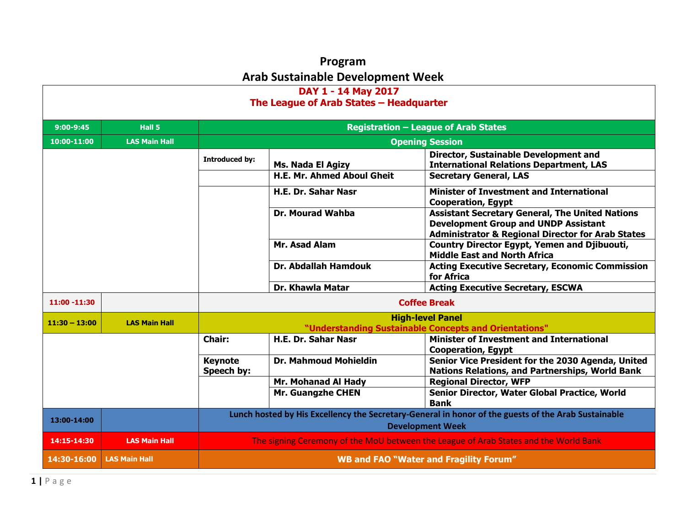## **Program Arab Sustainable Development Week**

| DAY 1 - 14 May 2017<br>The League of Arab States - Headquarter         |                      |                              |                                                                                                                                |                                                                                                      |  |
|------------------------------------------------------------------------|----------------------|------------------------------|--------------------------------------------------------------------------------------------------------------------------------|------------------------------------------------------------------------------------------------------|--|
| $9:00 - 9:45$                                                          | Hall 5               |                              |                                                                                                                                | <b>Registration - League of Arab States</b>                                                          |  |
| 10:00-11:00                                                            | <b>LAS Main Hall</b> |                              |                                                                                                                                | <b>Opening Session</b>                                                                               |  |
|                                                                        |                      | <b>Introduced by:</b>        | Ms. Nada El Agizy                                                                                                              | Director, Sustainable Development and<br><b>International Relations Department, LAS</b>              |  |
|                                                                        |                      |                              | <b>H.E. Mr. Ahmed Aboul Gheit</b>                                                                                              | <b>Secretary General, LAS</b>                                                                        |  |
|                                                                        |                      |                              | <b>H.E. Dr. Sahar Nasr</b>                                                                                                     | <b>Minister of Investment and International</b><br><b>Cooperation, Egypt</b>                         |  |
| <b>Dr. Mourad Wahba</b><br><b>Development Group and UNDP Assistant</b> |                      |                              | <b>Assistant Secretary General, The United Nations</b><br><b>Administrator &amp; Regional Director for Arab States</b>         |                                                                                                      |  |
| Mr. Asad Alam                                                          |                      |                              | <b>Country Director Egypt, Yemen and Djibuouti,</b><br><b>Middle East and North Africa</b>                                     |                                                                                                      |  |
|                                                                        |                      |                              | <b>Dr. Abdallah Hamdouk</b>                                                                                                    | <b>Acting Executive Secretary, Economic Commission</b><br>for Africa                                 |  |
|                                                                        |                      |                              | Dr. Khawla Matar                                                                                                               | <b>Acting Executive Secretary, ESCWA</b>                                                             |  |
| $11:00 - 11:30$                                                        |                      |                              | <b>Coffee Break</b>                                                                                                            |                                                                                                      |  |
| $11:30 - 13:00$                                                        | <b>LAS Main Hall</b> |                              |                                                                                                                                | <b>High-level Panel</b>                                                                              |  |
|                                                                        |                      |                              |                                                                                                                                | "Understanding Sustainable Concepts and Orientations"                                                |  |
|                                                                        |                      | <b>Chair:</b>                | <b>H.E. Dr. Sahar Nasr</b>                                                                                                     | Minister of Investment and International<br><b>Cooperation, Egypt</b>                                |  |
|                                                                        |                      | <b>Keynote</b><br>Speech by: | <b>Dr. Mahmoud Mohieldin</b>                                                                                                   | Senior Vice President for the 2030 Agenda, United<br>Nations Relations, and Partnerships, World Bank |  |
|                                                                        |                      |                              | Mr. Mohanad Al Hady                                                                                                            | <b>Regional Director, WFP</b>                                                                        |  |
|                                                                        |                      |                              | Mr. Guangzhe CHEN                                                                                                              | Senior Director, Water Global Practice, World<br><b>Bank</b>                                         |  |
| 13:00-14:00                                                            |                      |                              | Lunch hosted by His Excellency the Secretary-General in honor of the guests of the Arab Sustainable<br><b>Development Week</b> |                                                                                                      |  |
| 14:15-14:30                                                            | <b>LAS Main Hall</b> |                              |                                                                                                                                | The signing Ceremony of the MoU between the League of Arab States and the World Bank                 |  |
| 14:30-16:00                                                            | <b>LAS Main Hall</b> |                              | <b>WB and FAO "Water and Fragility Forum"</b>                                                                                  |                                                                                                      |  |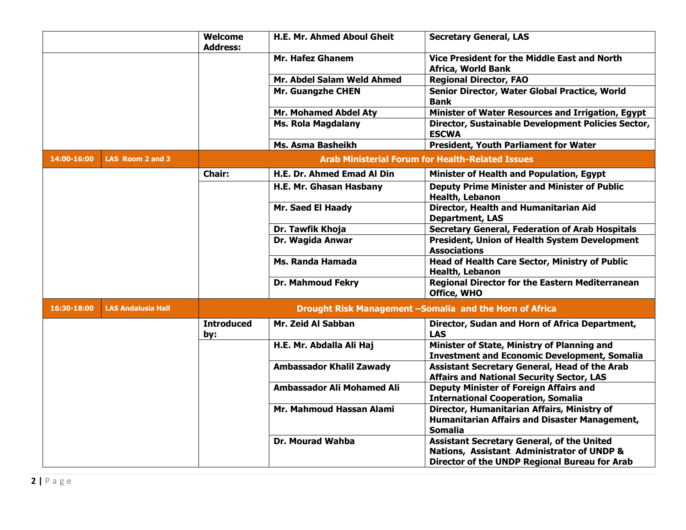|             |                           | <b>Welcome</b><br><b>Address:</b> | <b>H.E. Mr. Ahmed Aboul Gheit</b> | <b>Secretary General, LAS</b>                                                                                                                    |
|-------------|---------------------------|-----------------------------------|-----------------------------------|--------------------------------------------------------------------------------------------------------------------------------------------------|
|             |                           |                                   | <b>Mr. Hafez Ghanem</b>           | Vice President for the Middle East and North<br><b>Africa, World Bank</b>                                                                        |
|             |                           |                                   | Mr. Abdel Salam Weld Ahmed        | <b>Regional Director, FAO</b>                                                                                                                    |
|             |                           |                                   | <b>Mr. Guangzhe CHEN</b>          | Senior Director, Water Global Practice, World<br><b>Bank</b>                                                                                     |
|             |                           |                                   | <b>Mr. Mohamed Abdel Aty</b>      | Minister of Water Resources and Irrigation, Egypt                                                                                                |
|             |                           |                                   | <b>Ms. Rola Magdalany</b>         | Director, Sustainable Development Policies Sector,<br><b>ESCWA</b>                                                                               |
|             |                           |                                   | Ms. Asma Basheikh                 | <b>President, Youth Parliament for Water</b>                                                                                                     |
| 14:00-16:00 | LAS Room 2 and 3          |                                   |                                   | <b>Arab Ministerial Forum for Health-Related Issues</b>                                                                                          |
|             |                           | <b>Chair:</b>                     | H.E. Dr. Ahmed Emad Al Din        | Minister of Health and Population, Egypt                                                                                                         |
|             |                           |                                   | H.E. Mr. Ghasan Hasbany           | <b>Deputy Prime Minister and Minister of Public</b><br><b>Health, Lebanon</b>                                                                    |
|             |                           |                                   | Mr. Saed El Haady                 | Director, Health and Humanitarian Aid<br><b>Department, LAS</b>                                                                                  |
|             |                           |                                   | Dr. Tawfik Khoja                  | <b>Secretary General, Federation of Arab Hospitals</b>                                                                                           |
|             |                           |                                   | Dr. Wagida Anwar                  | <b>President, Union of Health System Development</b><br><b>Associations</b>                                                                      |
|             |                           |                                   | Ms. Randa Hamada                  | <b>Head of Health Care Sector, Ministry of Public</b><br><b>Health, Lebanon</b>                                                                  |
|             |                           |                                   | <b>Dr. Mahmoud Fekry</b>          | <b>Regional Director for the Eastern Mediterranean</b><br>Office, WHO                                                                            |
| 16:30-18:00 | <b>LAS Andalusia Hall</b> |                                   |                                   | Drought Risk Management -Somalia and the Horn of Africa                                                                                          |
|             |                           | <b>Introduced</b><br>by:          | Mr. Zeid Al Sabban                | Director, Sudan and Horn of Africa Department,<br><b>LAS</b>                                                                                     |
|             |                           |                                   | H.E. Mr. Abdalla Ali Haj          | Minister of State, Ministry of Planning and<br><b>Investment and Economic Development, Somalia</b>                                               |
|             |                           |                                   | <b>Ambassador Khalil Zawady</b>   | <b>Assistant Secretary General, Head of the Arab</b><br><b>Affairs and National Security Sector, LAS</b>                                         |
|             |                           |                                   | <b>Ambassador Ali Mohamed Ali</b> | <b>Deputy Minister of Foreign Affairs and</b><br><b>International Cooperation, Somalia</b>                                                       |
|             |                           |                                   | Mr. Mahmoud Hassan Alami          | Director, Humanitarian Affairs, Ministry of<br>Humanitarian Affairs and Disaster Management,<br><b>Somalia</b>                                   |
|             |                           |                                   | Dr. Mourad Wahba                  | <b>Assistant Secretary General, of the United</b><br>Nations, Assistant Administrator of UNDP &<br>Director of the UNDP Regional Bureau for Arab |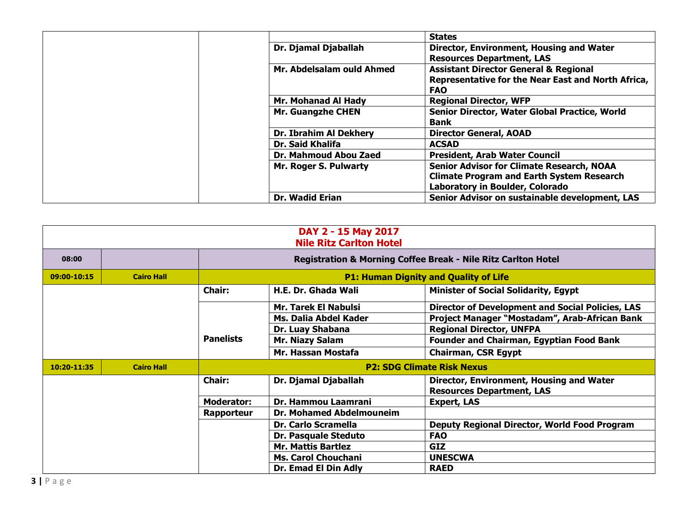|                           | <b>States</b>                                      |
|---------------------------|----------------------------------------------------|
| Dr. Djamal Djaballah      | Director, Environment, Housing and Water           |
|                           | <b>Resources Department, LAS</b>                   |
| Mr. Abdelsalam ould Ahmed | <b>Assistant Director General &amp; Regional</b>   |
|                           | Representative for the Near East and North Africa, |
|                           | <b>FAO</b>                                         |
| Mr. Mohanad Al Hady       | <b>Regional Director, WFP</b>                      |
| <b>Mr. Guangzhe CHEN</b>  | Senior Director, Water Global Practice, World      |
|                           | <b>Bank</b>                                        |
| Dr. Ibrahim Al Dekhery    | <b>Director General, AOAD</b>                      |
| <b>Dr. Said Khalifa</b>   | <b>ACSAD</b>                                       |
| Dr. Mahmoud Abou Zaed     | <b>President, Arab Water Council</b>               |
| Mr. Roger S. Pulwarty     | <b>Senior Advisor for Climate Research, NOAA</b>   |
|                           | <b>Climate Program and Earth System Research</b>   |
|                           | Laboratory in Boulder, Colorado                    |
| <b>Dr. Wadid Erian</b>    | Senior Advisor on sustainable development, LAS     |

|             | DAY 2 - 15 May 2017<br><b>Nile Ritz Carlton Hotel</b> |                   |                                   |                                                                          |  |
|-------------|-------------------------------------------------------|-------------------|-----------------------------------|--------------------------------------------------------------------------|--|
| 08:00       |                                                       |                   |                                   | <b>Registration &amp; Morning Coffee Break - Nile Ritz Carlton Hotel</b> |  |
| 09:00-10:15 | <b>Cairo Hall</b>                                     |                   |                                   | <b>P1: Human Dignity and Quality of Life</b>                             |  |
|             |                                                       | <b>Chair:</b>     | H.E. Dr. Ghada Wali               | <b>Minister of Social Solidarity, Egypt</b>                              |  |
|             |                                                       |                   | <b>Mr. Tarek El Nabulsi</b>       | <b>Director of Development and Social Policies, LAS</b>                  |  |
|             |                                                       |                   | Ms. Dalia Abdel Kader             | Project Manager "Mostadam", Arab-African Bank                            |  |
|             |                                                       |                   | Dr. Luay Shabana                  | <b>Regional Director, UNFPA</b>                                          |  |
|             |                                                       | <b>Panelists</b>  | <b>Mr. Niazy Salam</b>            | <b>Founder and Chairman, Egyptian Food Bank</b>                          |  |
|             |                                                       |                   | Mr. Hassan Mostafa                | <b>Chairman, CSR Egypt</b>                                               |  |
| 10:20-11:35 | <b>Cairo Hall</b>                                     |                   | <b>P2: SDG Climate Risk Nexus</b> |                                                                          |  |
|             |                                                       | <b>Chair:</b>     | Dr. Djamal Djaballah              | Director, Environment, Housing and Water                                 |  |
|             |                                                       |                   |                                   | <b>Resources Department, LAS</b>                                         |  |
|             |                                                       | <b>Moderator:</b> | <b>Dr. Hammou Laamrani</b>        | <b>Expert, LAS</b>                                                       |  |
|             |                                                       | Rapporteur        | <b>Dr. Mohamed Abdelmouneim</b>   |                                                                          |  |
|             |                                                       |                   | Dr. Carlo Scramella               | Deputy Regional Director, World Food Program                             |  |
|             |                                                       |                   | Dr. Pasquale Steduto              | <b>FAO</b>                                                               |  |
|             |                                                       |                   | <b>Mr. Mattis Bartlez</b>         | <b>GIZ</b>                                                               |  |
|             |                                                       |                   | <b>Ms. Carol Chouchani</b>        | <b>UNESCWA</b>                                                           |  |
|             |                                                       |                   | Dr. Emad El Din Adly              | <b>RAED</b>                                                              |  |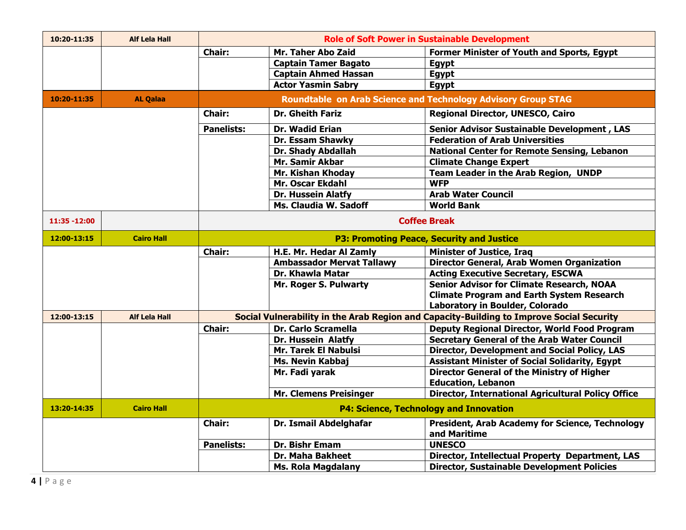| 10:20-11:35   | <b>Alf Lela Hall</b> |                                                  |                                                                        | <b>Role of Soft Power in Sustainable Development</b>                                                                                  |
|---------------|----------------------|--------------------------------------------------|------------------------------------------------------------------------|---------------------------------------------------------------------------------------------------------------------------------------|
|               |                      | <b>Chair:</b>                                    | Mr. Taher Abo Zaid                                                     | Former Minister of Youth and Sports, Egypt                                                                                            |
|               |                      |                                                  | <b>Captain Tamer Bagato</b>                                            | Egypt                                                                                                                                 |
|               |                      |                                                  | <b>Captain Ahmed Hassan</b>                                            | Egypt                                                                                                                                 |
|               |                      |                                                  | <b>Actor Yasmin Sabry</b>                                              | <b>Egypt</b>                                                                                                                          |
| 10:20-11:35   | <b>AL Qalaa</b>      |                                                  |                                                                        | <b>Roundtable on Arab Science and Technology Advisory Group STAG</b>                                                                  |
|               |                      | <b>Chair:</b>                                    | <b>Dr. Gheith Fariz</b>                                                | <b>Regional Director, UNESCO, Cairo</b>                                                                                               |
|               |                      | <b>Panelists:</b>                                | Dr. Wadid Erian                                                        | <b>Senior Advisor Sustainable Development, LAS</b>                                                                                    |
|               |                      |                                                  | Dr. Essam Shawky                                                       | <b>Federation of Arab Universities</b>                                                                                                |
|               |                      |                                                  | Dr. Shady Abdallah                                                     | <b>National Center for Remote Sensing, Lebanon</b>                                                                                    |
|               |                      |                                                  | Mr. Samir Akbar                                                        | <b>Climate Change Expert</b>                                                                                                          |
|               |                      |                                                  | Mr. Kishan Khoday                                                      | Team Leader in the Arab Region, UNDP                                                                                                  |
|               |                      |                                                  | Mr. Oscar Ekdahl                                                       | <b>WFP</b>                                                                                                                            |
|               |                      |                                                  | <b>Dr. Hussein Alatfy</b>                                              | <b>Arab Water Council</b>                                                                                                             |
|               |                      |                                                  | Ms. Claudia W. Sadoff                                                  | <b>World Bank</b>                                                                                                                     |
| 11:35 - 12:00 |                      | <b>Coffee Break</b>                              |                                                                        |                                                                                                                                       |
| 12:00-13:15   | <b>Cairo Hall</b>    | <b>P3: Promoting Peace, Security and Justice</b> |                                                                        |                                                                                                                                       |
|               |                      | <b>Chair:</b>                                    | H.E. Mr. Hedar Al Zamly                                                | <b>Minister of Justice, Iraq</b>                                                                                                      |
|               |                      |                                                  | <b>Ambassador Mervat Tallawy</b>                                       | <b>Director General, Arab Women Organization</b>                                                                                      |
|               |                      |                                                  | Dr. Khawla Matar                                                       | <b>Acting Executive Secretary, ESCWA</b>                                                                                              |
|               |                      |                                                  | Mr. Roger S. Pulwarty                                                  | <b>Senior Advisor for Climate Research, NOAA</b>                                                                                      |
|               |                      |                                                  |                                                                        | <b>Climate Program and Earth System Research</b>                                                                                      |
|               |                      |                                                  |                                                                        | Laboratory in Boulder, Colorado                                                                                                       |
| 12:00-13:15   | <b>Alf Lela Hall</b> |                                                  |                                                                        | Social Vulnerability in the Arab Region and Capacity-Building to Improve Social Security                                              |
|               |                      | <b>Chair:</b>                                    | Dr. Carlo Scramella                                                    | <b>Deputy Regional Director, World Food Program</b>                                                                                   |
|               |                      |                                                  | Dr. Hussein Alatfy                                                     | <b>Secretary General of the Arab Water Council</b>                                                                                    |
|               |                      |                                                  | <b>Mr. Tarek El Nabulsi</b>                                            | Director, Development and Social Policy, LAS                                                                                          |
|               |                      |                                                  | <b>Ms. Nevin Kabbaj</b>                                                | <b>Assistant Minister of Social Solidarity, Egypt</b>                                                                                 |
|               |                      |                                                  | Mr. Fadi yarak                                                         | <b>Director General of the Ministry of Higher</b>                                                                                     |
|               |                      |                                                  |                                                                        | <b>Education, Lebanon</b>                                                                                                             |
|               |                      |                                                  | <b>Mr. Clemens Preisinger</b>                                          | Director, International Agricultural Policy Office                                                                                    |
| 13:20-14:35   | <b>Cairo Hall</b>    |                                                  |                                                                        | <b>P4: Science, Technology and Innovation</b>                                                                                         |
|               |                      | <b>Chair:</b>                                    | Dr. Ismail Abdelghafar                                                 | <b>President, Arab Academy for Science, Technology</b>                                                                                |
|               |                      |                                                  |                                                                        |                                                                                                                                       |
|               |                      |                                                  |                                                                        |                                                                                                                                       |
|               |                      |                                                  |                                                                        |                                                                                                                                       |
|               |                      | <b>Panelists:</b>                                | Dr. Bishr Emam<br><b>Dr. Maha Bakheet</b><br><b>Ms. Rola Magdalany</b> | and Maritime<br><b>UNESCO</b><br>Director, Intellectual Property Department, LAS<br><b>Director, Sustainable Development Policies</b> |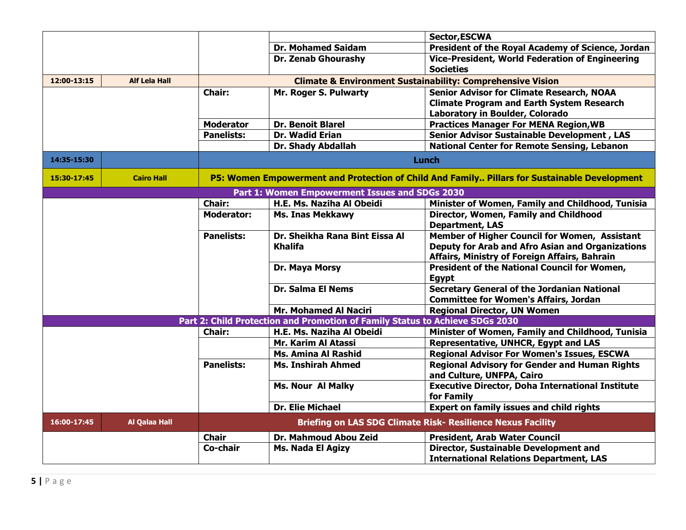|             |                      |                   |                                                                              | Sector, ESCWA                                                                                |  |  |
|-------------|----------------------|-------------------|------------------------------------------------------------------------------|----------------------------------------------------------------------------------------------|--|--|
|             |                      |                   | <b>Dr. Mohamed Saidam</b>                                                    | President of the Royal Academy of Science, Jordan                                            |  |  |
|             |                      |                   | <b>Dr. Zenab Ghourashy</b>                                                   | <b>Vice-President, World Federation of Engineering</b>                                       |  |  |
|             |                      |                   |                                                                              | <b>Societies</b>                                                                             |  |  |
| 12:00-13:15 | <b>Alf Lela Hall</b> |                   | <b>Climate &amp; Environment Sustainability: Comprehensive Vision</b>        |                                                                                              |  |  |
|             |                      | <b>Chair:</b>     | Mr. Roger S. Pulwarty                                                        | <b>Senior Advisor for Climate Research, NOAA</b>                                             |  |  |
|             |                      |                   |                                                                              | <b>Climate Program and Earth System Research</b>                                             |  |  |
|             |                      |                   |                                                                              | Laboratory in Boulder, Colorado                                                              |  |  |
|             |                      | <b>Moderator</b>  | <b>Dr. Benoit Blarel</b>                                                     | <b>Practices Manager For MENA Region, WB</b>                                                 |  |  |
|             |                      | <b>Panelists:</b> | <b>Dr. Wadid Erian</b>                                                       | <b>Senior Advisor Sustainable Development, LAS</b>                                           |  |  |
|             |                      |                   | Dr. Shady Abdallah                                                           | <b>National Center for Remote Sensing, Lebanon</b>                                           |  |  |
| 14:35-15:30 |                      |                   |                                                                              | Lunch                                                                                        |  |  |
| 15:30-17:45 | <b>Cairo Hall</b>    |                   |                                                                              | P5: Women Empowerment and Protection of Child And Family Pillars for Sustainable Development |  |  |
|             |                      |                   | Part 1: Women Empowerment Issues and SDGs 2030                               |                                                                                              |  |  |
|             |                      | <b>Chair:</b>     | H.E. Ms. Naziha Al Obeidi                                                    | Minister of Women, Family and Childhood, Tunisia                                             |  |  |
|             |                      | <b>Moderator:</b> | <b>Ms. Inas Mekkawy</b>                                                      | Director, Women, Family and Childhood                                                        |  |  |
|             |                      |                   |                                                                              | <b>Department, LAS</b>                                                                       |  |  |
|             |                      | <b>Panelists:</b> | Dr. Sheikha Rana Bint Eissa Al                                               | Member of Higher Council for Women, Assistant                                                |  |  |
|             |                      |                   | <b>Khalifa</b>                                                               | <b>Deputy for Arab and Afro Asian and Organizations</b>                                      |  |  |
|             |                      |                   |                                                                              | Affairs, Ministry of Foreign Affairs, Bahrain                                                |  |  |
|             |                      |                   | Dr. Maya Morsy                                                               | President of the National Council for Women,                                                 |  |  |
|             |                      |                   |                                                                              | <b>Egypt</b>                                                                                 |  |  |
|             |                      |                   | <b>Dr. Salma El Nems</b>                                                     | <b>Secretary General of the Jordanian National</b>                                           |  |  |
|             |                      |                   |                                                                              | <b>Committee for Women's Affairs, Jordan</b>                                                 |  |  |
|             |                      |                   | <b>Mr. Mohamed Al Naciri</b>                                                 | <b>Regional Director, UN Women</b>                                                           |  |  |
|             |                      |                   | Part 2: Child Protection and Promotion of Family Status to Achieve SDGs 2030 |                                                                                              |  |  |
|             |                      | <b>Chair:</b>     | H.E. Ms. Naziha Al Obeidi                                                    | Minister of Women, Family and Childhood, Tunisia                                             |  |  |
|             |                      |                   | Mr. Karim Al Atassi                                                          | Representative, UNHCR, Egypt and LAS                                                         |  |  |
|             |                      |                   | <b>Ms. Amina Al Rashid</b>                                                   | <b>Regional Advisor For Women's Issues, ESCWA</b>                                            |  |  |
|             |                      | <b>Panelists:</b> | <b>Ms. Inshirah Ahmed</b>                                                    | <b>Regional Advisory for Gender and Human Rights</b><br>and Culture, UNFPA, Cairo            |  |  |
|             |                      |                   | <b>Ms. Nour Al Malky</b>                                                     | <b>Executive Director, Doha International Institute</b>                                      |  |  |
|             |                      |                   |                                                                              | for Family                                                                                   |  |  |
|             |                      |                   | <b>Dr. Elie Michael</b>                                                      | <b>Expert on family issues and child rights</b>                                              |  |  |
| 16:00-17:45 | <b>Al Qalaa Hall</b> |                   |                                                                              | <b>Briefing on LAS SDG Climate Risk- Resilience Nexus Facility</b>                           |  |  |
|             |                      | <b>Chair</b>      | Dr. Mahmoud Abou Zeid                                                        | <b>President, Arab Water Council</b>                                                         |  |  |
|             |                      | Co-chair          | Ms. Nada El Agizy                                                            | <b>Director, Sustainable Development and</b>                                                 |  |  |
|             |                      |                   |                                                                              | <b>International Relations Department, LAS</b>                                               |  |  |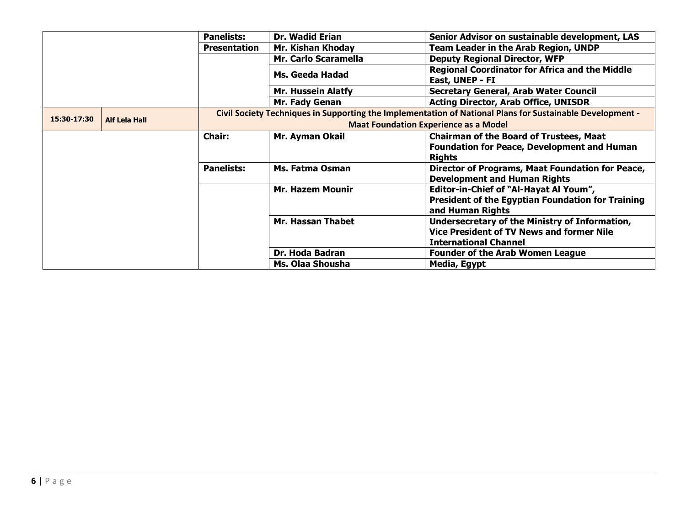|             |                      | <b>Panelists:</b>   | <b>Dr. Wadid Erian</b>                                                                                    | Senior Advisor on sustainable development, LAS           |  |  |
|-------------|----------------------|---------------------|-----------------------------------------------------------------------------------------------------------|----------------------------------------------------------|--|--|
|             |                      | <b>Presentation</b> | Mr. Kishan Khoday                                                                                         | <b>Team Leader in the Arab Region, UNDP</b>              |  |  |
|             |                      |                     | Mr. Carlo Scaramella                                                                                      | <b>Deputy Regional Director, WFP</b>                     |  |  |
|             |                      |                     |                                                                                                           | <b>Regional Coordinator for Africa and the Middle</b>    |  |  |
|             |                      |                     | Ms. Geeda Hadad                                                                                           | East, UNEP - FI                                          |  |  |
|             |                      |                     | <b>Mr. Hussein Alatfy</b>                                                                                 | <b>Secretary General, Arab Water Council</b>             |  |  |
|             |                      |                     | <b>Mr. Fady Genan</b>                                                                                     | <b>Acting Director, Arab Office, UNISDR</b>              |  |  |
|             |                      |                     | Civil Society Techniques in Supporting the Implementation of National Plans for Sustainable Development - |                                                          |  |  |
| 15:30-17:30 | <b>Alf Lela Hall</b> |                     | <b>Maat Foundation Experience as a Model</b>                                                              |                                                          |  |  |
|             |                      | <b>Chair:</b>       | Mr. Ayman Okail                                                                                           | <b>Chairman of the Board of Trustees, Maat</b>           |  |  |
|             |                      |                     |                                                                                                           | <b>Foundation for Peace, Development and Human</b>       |  |  |
|             |                      |                     |                                                                                                           | <b>Rights</b>                                            |  |  |
|             |                      | <b>Panelists:</b>   | Ms. Fatma Osman                                                                                           | Director of Programs, Maat Foundation for Peace,         |  |  |
|             |                      |                     |                                                                                                           | <b>Development and Human Rights</b>                      |  |  |
|             |                      |                     | <b>Mr. Hazem Mounir</b>                                                                                   | Editor-in-Chief of "Al-Hayat Al Youm",                   |  |  |
|             |                      |                     |                                                                                                           | <b>President of the Egyptian Foundation for Training</b> |  |  |
|             |                      |                     |                                                                                                           | and Human Rights                                         |  |  |
|             |                      |                     | <b>Mr. Hassan Thabet</b>                                                                                  | Undersecretary of the Ministry of Information,           |  |  |
|             |                      |                     |                                                                                                           | <b>Vice President of TV News and former Nile</b>         |  |  |
|             |                      |                     |                                                                                                           | <b>International Channel</b>                             |  |  |
|             |                      |                     | Dr. Hoda Badran                                                                                           | <b>Founder of the Arab Women League</b>                  |  |  |
|             |                      |                     | Ms. Olaa Shousha                                                                                          | Media, Egypt                                             |  |  |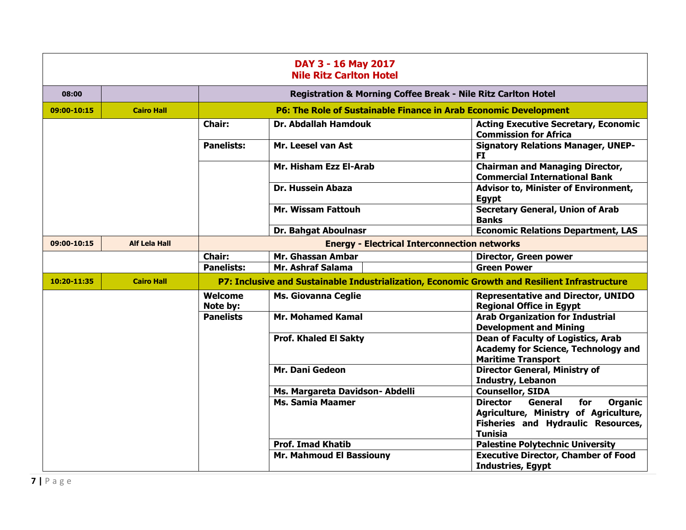| DAY 3 - 16 May 2017<br><b>Nile Ritz Carlton Hotel</b> |                      |                                                     |                                                                                               |                                                                                                                                                             |
|-------------------------------------------------------|----------------------|-----------------------------------------------------|-----------------------------------------------------------------------------------------------|-------------------------------------------------------------------------------------------------------------------------------------------------------------|
| 08:00                                                 |                      |                                                     | Registration & Morning Coffee Break - Nile Ritz Carlton Hotel                                 |                                                                                                                                                             |
| 09:00-10:15                                           | <b>Cairo Hall</b>    |                                                     | <b>P6: The Role of Sustainable Finance in Arab Economic Development</b>                       |                                                                                                                                                             |
|                                                       |                      | <b>Chair:</b>                                       | <b>Dr. Abdallah Hamdouk</b>                                                                   | <b>Acting Executive Secretary, Economic</b><br><b>Commission for Africa</b>                                                                                 |
|                                                       |                      | <b>Panelists:</b>                                   | Mr. Leesel van Ast                                                                            | <b>Signatory Relations Manager, UNEP-</b><br>FI.                                                                                                            |
|                                                       |                      |                                                     | Mr. Hisham Ezz El-Arab                                                                        | <b>Chairman and Managing Director,</b><br><b>Commercial International Bank</b>                                                                              |
|                                                       |                      |                                                     | <b>Dr. Hussein Abaza</b>                                                                      | Advisor to, Minister of Environment,<br><b>Egypt</b>                                                                                                        |
|                                                       |                      |                                                     | <b>Mr. Wissam Fattouh</b>                                                                     | <b>Secretary General, Union of Arab</b><br><b>Banks</b>                                                                                                     |
|                                                       |                      |                                                     | <b>Dr. Bahgat Aboulnasr</b>                                                                   | <b>Economic Relations Department, LAS</b>                                                                                                                   |
| 09:00-10:15                                           | <b>Alf Lela Hall</b> | <b>Energy - Electrical Interconnection networks</b> |                                                                                               |                                                                                                                                                             |
|                                                       |                      | <b>Chair:</b>                                       | Mr. Ghassan Ambar                                                                             | Director, Green power                                                                                                                                       |
|                                                       |                      | <b>Panelists:</b>                                   | Mr. Ashraf Salama                                                                             | <b>Green Power</b>                                                                                                                                          |
| 10:20-11:35                                           | <b>Cairo Hall</b>    |                                                     | P7: Inclusive and Sustainable Industrialization, Economic Growth and Resilient Infrastructure |                                                                                                                                                             |
|                                                       |                      | Welcome<br>Note by:                                 | <b>Ms. Giovanna Ceglie</b>                                                                    | <b>Representative and Director, UNIDO</b><br><b>Regional Office in Egypt</b>                                                                                |
|                                                       |                      | <b>Panelists</b>                                    | <b>Mr. Mohamed Kamal</b>                                                                      | <b>Arab Organization for Industrial</b><br><b>Development and Mining</b>                                                                                    |
|                                                       |                      |                                                     | <b>Prof. Khaled El Sakty</b>                                                                  | <b>Dean of Faculty of Logistics, Arab</b><br><b>Academy for Science, Technology and</b><br><b>Maritime Transport</b>                                        |
|                                                       |                      |                                                     | Mr. Dani Gedeon                                                                               | <b>Director General, Ministry of</b><br><b>Industry, Lebanon</b>                                                                                            |
|                                                       |                      |                                                     | Ms. Margareta Davidson- Abdelli                                                               | <b>Counsellor, SIDA</b>                                                                                                                                     |
|                                                       |                      |                                                     | <b>Ms. Samia Maamer</b>                                                                       | <b>Director</b><br><b>General</b><br>for<br><b>Organic</b><br>Agriculture, Ministry of Agriculture,<br>Fisheries and Hydraulic Resources,<br><b>Tunisia</b> |
|                                                       |                      |                                                     | <b>Prof. Imad Khatib</b>                                                                      | <b>Palestine Polytechnic University</b>                                                                                                                     |
|                                                       |                      |                                                     | Mr. Mahmoud El Bassiouny                                                                      | <b>Executive Director, Chamber of Food</b><br><b>Industries, Egypt</b>                                                                                      |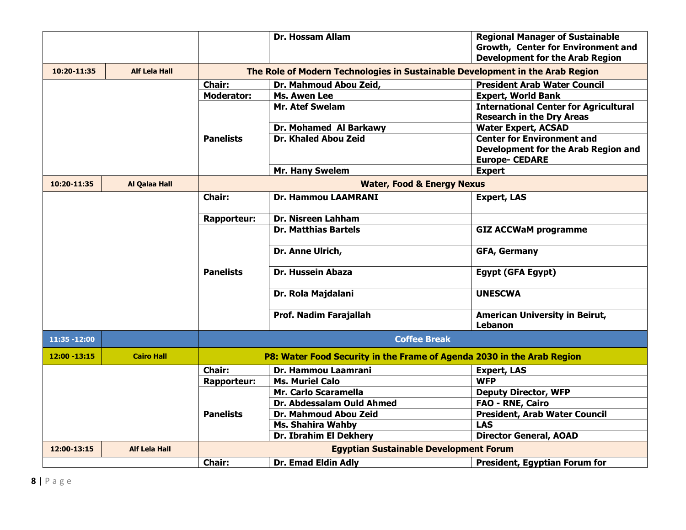|                 |                      |                    | <b>Dr. Hossam Allam</b>                                                       | <b>Regional Manager of Sustainable</b><br>Growth, Center for Environment and<br><b>Development for the Arab Region</b> |
|-----------------|----------------------|--------------------|-------------------------------------------------------------------------------|------------------------------------------------------------------------------------------------------------------------|
| 10:20-11:35     | <b>Alf Lela Hall</b> |                    | The Role of Modern Technologies in Sustainable Development in the Arab Region |                                                                                                                        |
|                 |                      | <b>Chair:</b>      | Dr. Mahmoud Abou Zeid,                                                        | <b>President Arab Water Council</b>                                                                                    |
|                 |                      | <b>Moderator:</b>  | Ms. Awen Lee                                                                  | <b>Expert, World Bank</b>                                                                                              |
|                 |                      |                    | <b>Mr. Atef Swelam</b>                                                        | <b>International Center for Agricultural</b>                                                                           |
|                 |                      |                    |                                                                               | <b>Research in the Dry Areas</b>                                                                                       |
|                 |                      |                    | Dr. Mohamed Al Barkawy                                                        | <b>Water Expert, ACSAD</b>                                                                                             |
|                 |                      | <b>Panelists</b>   | Dr. Khaled Abou Zeid                                                          | <b>Center for Environment and</b>                                                                                      |
|                 |                      |                    |                                                                               | Development for the Arab Region and                                                                                    |
|                 |                      |                    |                                                                               | <b>Europe- CEDARE</b>                                                                                                  |
|                 |                      |                    | Mr. Hany Swelem                                                               | <b>Expert</b>                                                                                                          |
| 10:20-11:35     | <b>Al Qalaa Hall</b> |                    | <b>Water, Food &amp; Energy Nexus</b>                                         |                                                                                                                        |
|                 |                      | <b>Chair:</b>      | <b>Dr. Hammou LAAMRANI</b>                                                    | <b>Expert, LAS</b>                                                                                                     |
|                 |                      |                    |                                                                               |                                                                                                                        |
|                 |                      | <b>Rapporteur:</b> | Dr. Nisreen Lahham                                                            |                                                                                                                        |
|                 |                      |                    | <b>Dr. Matthias Bartels</b>                                                   | <b>GIZ ACCWaM programme</b>                                                                                            |
|                 |                      |                    | Dr. Anne Ulrich,                                                              | <b>GFA, Germany</b>                                                                                                    |
|                 |                      | <b>Panelists</b>   | <b>Dr. Hussein Abaza</b>                                                      | <b>Egypt (GFA Egypt)</b>                                                                                               |
|                 |                      |                    | Dr. Rola Majdalani                                                            | <b>UNESCWA</b>                                                                                                         |
|                 |                      |                    | Prof. Nadim Farajallah                                                        | <b>American University in Beirut,</b>                                                                                  |
|                 |                      |                    |                                                                               | <b>Lebanon</b>                                                                                                         |
| 11:35 - 12:00   |                      |                    | <b>Coffee Break</b>                                                           |                                                                                                                        |
| $12:00 - 13:15$ | <b>Cairo Hall</b>    |                    | P8: Water Food Security in the Frame of Agenda 2030 in the Arab Region        |                                                                                                                        |
|                 |                      | <b>Chair:</b>      | Dr. Hammou Laamrani                                                           | <b>Expert, LAS</b>                                                                                                     |
|                 |                      | <b>Rapporteur:</b> | <b>Ms. Muriel Calo</b>                                                        | <b>WFP</b>                                                                                                             |
|                 |                      |                    | Mr. Carlo Scaramella                                                          | <b>Deputy Director, WFP</b>                                                                                            |
|                 |                      |                    | Dr. Abdessalam Ould Ahmed                                                     | <b>FAO - RNE, Cairo</b>                                                                                                |
|                 |                      | <b>Panelists</b>   | Dr. Mahmoud Abou Zeid                                                         | <b>President, Arab Water Council</b>                                                                                   |
|                 |                      |                    | <b>Ms. Shahira Wahby</b>                                                      | <b>LAS</b>                                                                                                             |
|                 |                      |                    | Dr. Ibrahim El Dekhery                                                        | <b>Director General, AOAD</b>                                                                                          |
| 12:00-13:15     | <b>Alf Lela Hall</b> |                    | <b>Egyptian Sustainable Development Forum</b>                                 |                                                                                                                        |
|                 |                      | <b>Chair:</b>      | Dr. Emad Eldin Adly                                                           | <b>President, Egyptian Forum for</b>                                                                                   |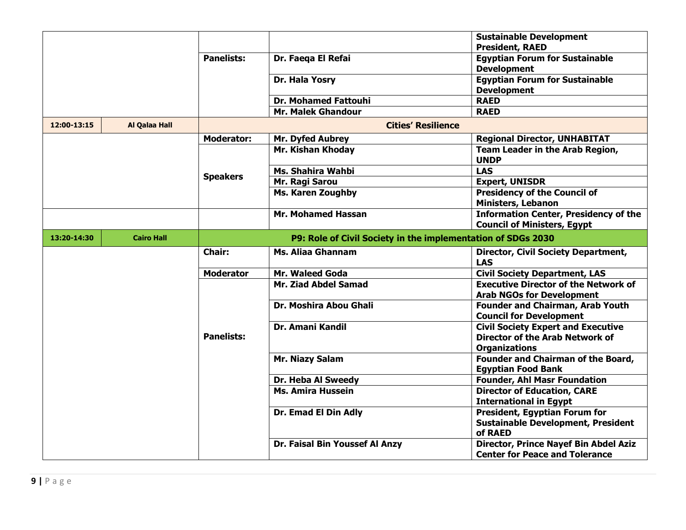|             |                   |                   |                                                              | <b>Sustainable Development</b><br><b>President, RAED</b>                                                    |
|-------------|-------------------|-------------------|--------------------------------------------------------------|-------------------------------------------------------------------------------------------------------------|
|             |                   | <b>Panelists:</b> | Dr. Faega El Refai                                           | <b>Egyptian Forum for Sustainable</b><br><b>Development</b>                                                 |
|             |                   |                   | Dr. Hala Yosry                                               | <b>Egyptian Forum for Sustainable</b><br><b>Development</b>                                                 |
|             |                   |                   | <b>Dr. Mohamed Fattouhi</b>                                  | <b>RAED</b>                                                                                                 |
|             |                   |                   | Mr. Malek Ghandour                                           | <b>RAED</b>                                                                                                 |
| 12:00-13:15 | Al Qalaa Hall     |                   | <b>Cities' Resilience</b>                                    |                                                                                                             |
|             |                   | <b>Moderator:</b> | Mr. Dyfed Aubrey                                             | <b>Regional Director, UNHABITAT</b>                                                                         |
|             |                   |                   | Mr. Kishan Khoday                                            | Team Leader in the Arab Region,<br><b>UNDP</b>                                                              |
|             |                   | <b>Speakers</b>   | Ms. Shahira Wahbi                                            | <b>LAS</b>                                                                                                  |
|             |                   |                   | Mr. Ragi Sarou                                               | <b>Expert, UNISDR</b>                                                                                       |
|             |                   |                   | <b>Ms. Karen Zoughby</b>                                     | <b>Presidency of the Council of</b><br>Ministers, Lebanon                                                   |
|             |                   |                   | <b>Mr. Mohamed Hassan</b>                                    | <b>Information Center, Presidency of the</b><br><b>Council of Ministers, Egypt</b>                          |
| 13:20-14:30 | <b>Cairo Hall</b> |                   | P9: Role of Civil Society in the implementation of SDGs 2030 |                                                                                                             |
|             |                   | <b>Chair:</b>     | <b>Ms. Aliaa Ghannam</b>                                     | <b>Director, Civil Society Department,</b><br><b>LAS</b>                                                    |
|             |                   | <b>Moderator</b>  | Mr. Waleed Goda                                              | <b>Civil Society Department, LAS</b>                                                                        |
|             |                   |                   | Mr. Ziad Abdel Samad                                         | <b>Executive Director of the Network of</b><br><b>Arab NGOs for Development</b>                             |
|             |                   |                   | Dr. Moshira Abou Ghali                                       | <b>Founder and Chairman, Arab Youth</b><br><b>Council for Development</b>                                   |
|             |                   | <b>Panelists:</b> | <b>Dr. Amani Kandil</b>                                      | <b>Civil Society Expert and Executive</b><br><b>Director of the Arab Network of</b><br><b>Organizations</b> |
|             |                   |                   | Mr. Niazy Salam                                              | Founder and Chairman of the Board,<br><b>Egyptian Food Bank</b>                                             |
|             |                   |                   | Dr. Heba Al Sweedy                                           | <b>Founder, Ahl Masr Foundation</b>                                                                         |
|             |                   |                   | <b>Ms. Amira Hussein</b>                                     | <b>Director of Education, CARE</b><br><b>International in Egypt</b>                                         |
|             |                   |                   | Dr. Emad El Din Adly                                         | President, Egyptian Forum for<br><b>Sustainable Development, President</b><br>of RAED                       |
|             |                   |                   | Dr. Faisal Bin Youssef Al Anzy                               | Director, Prince Nayef Bin Abdel Aziz<br><b>Center for Peace and Tolerance</b>                              |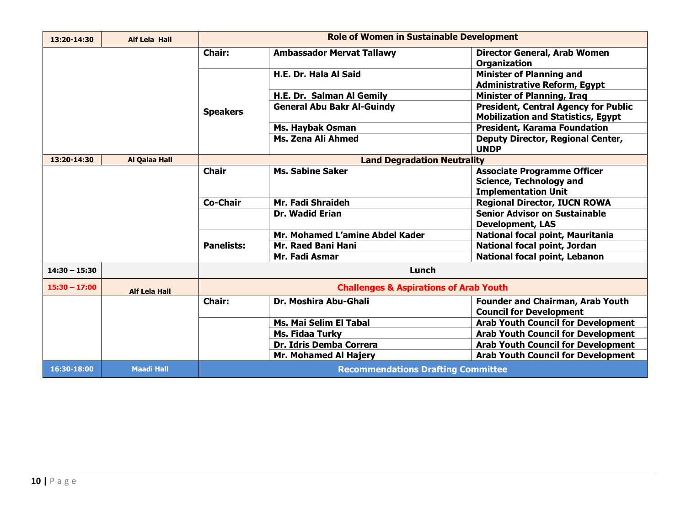| 13:20-14:30     | <b>Alf Lela Hall</b> |                   | <b>Role of Women in Sustainable Development</b>        |                                                                                          |
|-----------------|----------------------|-------------------|--------------------------------------------------------|------------------------------------------------------------------------------------------|
|                 |                      | <b>Chair:</b>     | <b>Ambassador Mervat Tallawy</b>                       | <b>Director General, Arab Women</b><br><b>Organization</b>                               |
|                 |                      |                   | H.E. Dr. Hala Al Said                                  | <b>Minister of Planning and</b><br><b>Administrative Reform, Egypt</b>                   |
|                 |                      |                   | H.E. Dr. Salman Al Gemily                              | <b>Minister of Planning, Iraq</b>                                                        |
|                 |                      |                   | <b>General Abu Bakr Al-Guindy</b>                      | <b>President, Central Agency for Public</b><br><b>Mobilization and Statistics, Egypt</b> |
|                 |                      |                   | <b>Ms. Haybak Osman</b>                                | <b>President, Karama Foundation</b>                                                      |
|                 |                      |                   | Ms. Zena Ali Ahmed                                     | <b>Deputy Director, Regional Center,</b><br><b>UNDP</b>                                  |
| 13:20-14:30     | Al Qalaa Hall        |                   | <b>Land Degradation Neutrality</b>                     |                                                                                          |
|                 |                      | <b>Chair</b>      | <b>Ms. Sabine Saker</b>                                | <b>Associate Programme Officer</b>                                                       |
|                 |                      |                   |                                                        | <b>Science, Technology and</b>                                                           |
|                 |                      |                   |                                                        | <b>Implementation Unit</b>                                                               |
|                 |                      | <b>Co-Chair</b>   | Mr. Fadi Shraideh                                      | <b>Regional Director, IUCN ROWA</b>                                                      |
|                 |                      |                   | <b>Dr. Wadid Erian</b>                                 | <b>Senior Advisor on Sustainable</b>                                                     |
|                 |                      |                   |                                                        | <b>Development, LAS</b>                                                                  |
|                 |                      | <b>Panelists:</b> | Mr. Mohamed L'amine Abdel Kader                        | National focal point, Mauritania                                                         |
|                 |                      |                   | Mr. Raed Bani Hani                                     | <b>National focal point, Jordan</b>                                                      |
|                 |                      |                   | Mr. Fadi Asmar<br><b>National focal point, Lebanon</b> |                                                                                          |
| $14:30 - 15:30$ |                      |                   | Lunch                                                  |                                                                                          |
| $15:30 - 17:00$ | <b>Alf Lela Hall</b> |                   | <b>Challenges &amp; Aspirations of Arab Youth</b>      |                                                                                          |
|                 |                      | <b>Chair:</b>     | Dr. Moshira Abu-Ghali                                  | <b>Founder and Chairman, Arab Youth</b><br><b>Council for Development</b>                |
|                 |                      |                   | Ms. Mai Selim El Tabal                                 | <b>Arab Youth Council for Development</b>                                                |
|                 |                      |                   | <b>Ms. Fidaa Turky</b>                                 | <b>Arab Youth Council for Development</b>                                                |
|                 |                      |                   | Dr. Idris Demba Correra                                | <b>Arab Youth Council for Development</b>                                                |
|                 |                      |                   | <b>Mr. Mohamed Al Hajery</b>                           | <b>Arab Youth Council for Development</b>                                                |
| 16:30-18:00     | <b>Maadi Hall</b>    |                   | <b>Recommendations Drafting Committee</b>              |                                                                                          |